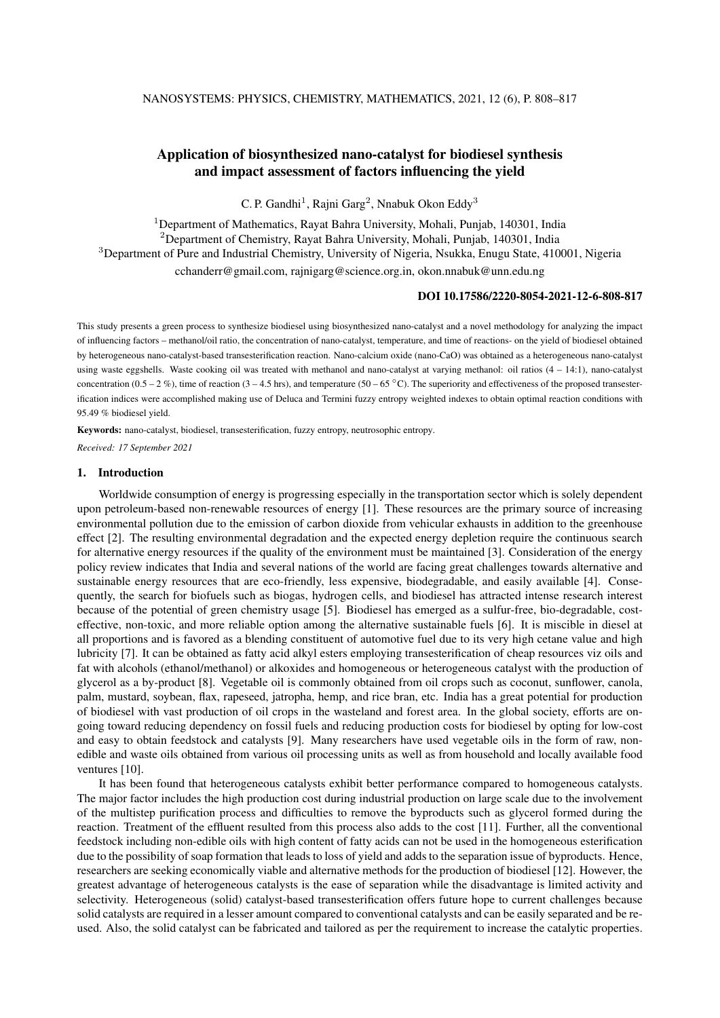# Application of biosynthesized nano-catalyst for biodiesel synthesis and impact assessment of factors influencing the yield

C. P. Gandhi<sup>1</sup>, Rajni Garg<sup>2</sup>, Nnabuk Okon Eddy<sup>3</sup>

<sup>1</sup>Department of Mathematics, Rayat Bahra University, Mohali, Punjab, 140301, India <sup>2</sup>Department of Chemistry, Rayat Bahra University, Mohali, Punjab, 140301, India <sup>3</sup>Department of Pure and Industrial Chemistry, University of Nigeria, Nsukka, Enugu State, 410001, Nigeria cchanderr@gmail.com, rajnigarg@science.org.in, okon.nnabuk@unn.edu.ng

## DOI 10.17586/2220-8054-2021-12-6-808-817

This study presents a green process to synthesize biodiesel using biosynthesized nano-catalyst and a novel methodology for analyzing the impact of influencing factors – methanol/oil ratio, the concentration of nano-catalyst, temperature, and time of reactions- on the yield of biodiesel obtained by heterogeneous nano-catalyst-based transesterification reaction. Nano-calcium oxide (nano-CaO) was obtained as a heterogeneous nano-catalyst using waste eggshells. Waste cooking oil was treated with methanol and nano-catalyst at varying methanol: oil ratios (4 – 14:1), nano-catalyst concentration (0.5 – 2 %), time of reaction (3 – 4.5 hrs), and temperature (50 – 65 °C). The superiority and effectiveness of the proposed transesterification indices were accomplished making use of Deluca and Termini fuzzy entropy weighted indexes to obtain optimal reaction conditions with 95.49 % biodiesel yield.

Keywords: nano-catalyst, biodiesel, transesterification, fuzzy entropy, neutrosophic entropy.

*Received: 17 September 2021*

## 1. Introduction

Worldwide consumption of energy is progressing especially in the transportation sector which is solely dependent upon petroleum-based non-renewable resources of energy [1]. These resources are the primary source of increasing environmental pollution due to the emission of carbon dioxide from vehicular exhausts in addition to the greenhouse effect [2]. The resulting environmental degradation and the expected energy depletion require the continuous search for alternative energy resources if the quality of the environment must be maintained [3]. Consideration of the energy policy review indicates that India and several nations of the world are facing great challenges towards alternative and sustainable energy resources that are eco-friendly, less expensive, biodegradable, and easily available [4]. Consequently, the search for biofuels such as biogas, hydrogen cells, and biodiesel has attracted intense research interest because of the potential of green chemistry usage [5]. Biodiesel has emerged as a sulfur-free, bio-degradable, costeffective, non-toxic, and more reliable option among the alternative sustainable fuels [6]. It is miscible in diesel at all proportions and is favored as a blending constituent of automotive fuel due to its very high cetane value and high lubricity [7]. It can be obtained as fatty acid alkyl esters employing transesterification of cheap resources viz oils and fat with alcohols (ethanol/methanol) or alkoxides and homogeneous or heterogeneous catalyst with the production of glycerol as a by-product [8]. Vegetable oil is commonly obtained from oil crops such as coconut, sunflower, canola, palm, mustard, soybean, flax, rapeseed, jatropha, hemp, and rice bran, etc. India has a great potential for production of biodiesel with vast production of oil crops in the wasteland and forest area. In the global society, efforts are ongoing toward reducing dependency on fossil fuels and reducing production costs for biodiesel by opting for low-cost and easy to obtain feedstock and catalysts [9]. Many researchers have used vegetable oils in the form of raw, nonedible and waste oils obtained from various oil processing units as well as from household and locally available food ventures [10].

It has been found that heterogeneous catalysts exhibit better performance compared to homogeneous catalysts. The major factor includes the high production cost during industrial production on large scale due to the involvement of the multistep purification process and difficulties to remove the byproducts such as glycerol formed during the reaction. Treatment of the effluent resulted from this process also adds to the cost [11]. Further, all the conventional feedstock including non-edible oils with high content of fatty acids can not be used in the homogeneous esterification due to the possibility of soap formation that leads to loss of yield and adds to the separation issue of byproducts. Hence, researchers are seeking economically viable and alternative methods for the production of biodiesel [12]. However, the greatest advantage of heterogeneous catalysts is the ease of separation while the disadvantage is limited activity and selectivity. Heterogeneous (solid) catalyst-based transesterification offers future hope to current challenges because solid catalysts are required in a lesser amount compared to conventional catalysts and can be easily separated and be reused. Also, the solid catalyst can be fabricated and tailored as per the requirement to increase the catalytic properties.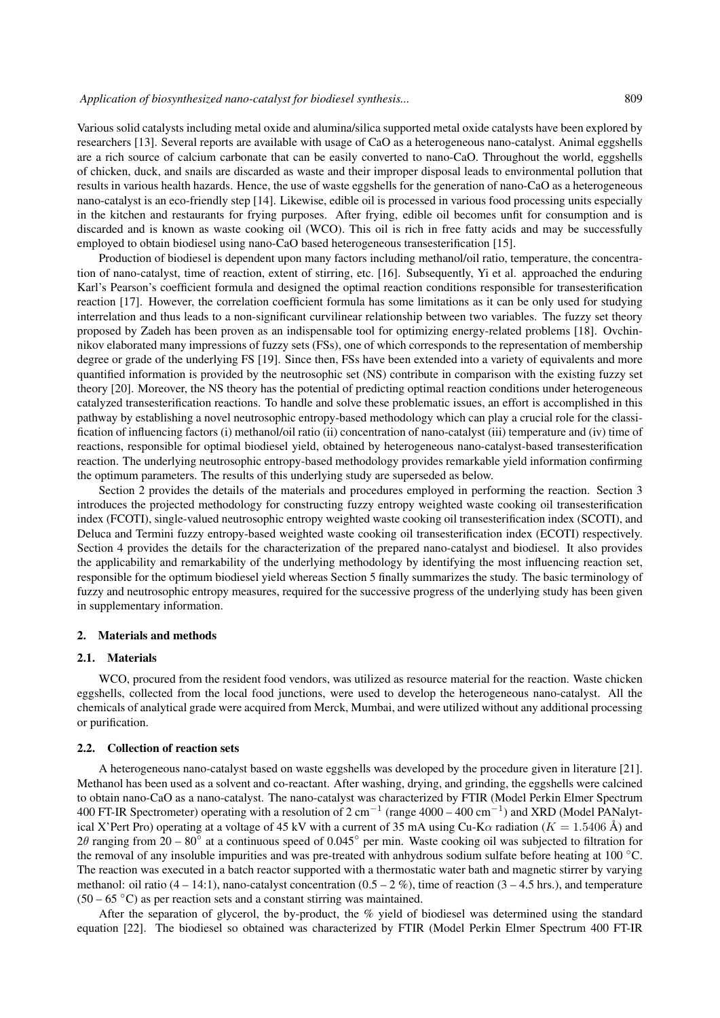Various solid catalysts including metal oxide and alumina/silica supported metal oxide catalysts have been explored by researchers [13]. Several reports are available with usage of CaO as a heterogeneous nano-catalyst. Animal eggshells are a rich source of calcium carbonate that can be easily converted to nano-CaO. Throughout the world, eggshells of chicken, duck, and snails are discarded as waste and their improper disposal leads to environmental pollution that results in various health hazards. Hence, the use of waste eggshells for the generation of nano-CaO as a heterogeneous nano-catalyst is an eco-friendly step [14]. Likewise, edible oil is processed in various food processing units especially in the kitchen and restaurants for frying purposes. After frying, edible oil becomes unfit for consumption and is discarded and is known as waste cooking oil (WCO). This oil is rich in free fatty acids and may be successfully employed to obtain biodiesel using nano-CaO based heterogeneous transesterification [15].

Production of biodiesel is dependent upon many factors including methanol/oil ratio, temperature, the concentration of nano-catalyst, time of reaction, extent of stirring, etc. [16]. Subsequently, Yi et al. approached the enduring Karl's Pearson's coefficient formula and designed the optimal reaction conditions responsible for transesterification reaction [17]. However, the correlation coefficient formula has some limitations as it can be only used for studying interrelation and thus leads to a non-significant curvilinear relationship between two variables. The fuzzy set theory proposed by Zadeh has been proven as an indispensable tool for optimizing energy-related problems [18]. Ovchinnikov elaborated many impressions of fuzzy sets (FSs), one of which corresponds to the representation of membership degree or grade of the underlying FS [19]. Since then, FSs have been extended into a variety of equivalents and more quantified information is provided by the neutrosophic set (NS) contribute in comparison with the existing fuzzy set theory [20]. Moreover, the NS theory has the potential of predicting optimal reaction conditions under heterogeneous catalyzed transesterification reactions. To handle and solve these problematic issues, an effort is accomplished in this pathway by establishing a novel neutrosophic entropy-based methodology which can play a crucial role for the classification of influencing factors (i) methanol/oil ratio (ii) concentration of nano-catalyst (iii) temperature and (iv) time of reactions, responsible for optimal biodiesel yield, obtained by heterogeneous nano-catalyst-based transesterification reaction. The underlying neutrosophic entropy-based methodology provides remarkable yield information confirming the optimum parameters. The results of this underlying study are superseded as below.

Section 2 provides the details of the materials and procedures employed in performing the reaction. Section 3 introduces the projected methodology for constructing fuzzy entropy weighted waste cooking oil transesterification index (FCOTI), single-valued neutrosophic entropy weighted waste cooking oil transesterification index (SCOTI), and Deluca and Termini fuzzy entropy-based weighted waste cooking oil transesterification index (ECOTI) respectively. Section 4 provides the details for the characterization of the prepared nano-catalyst and biodiesel. It also provides the applicability and remarkability of the underlying methodology by identifying the most influencing reaction set, responsible for the optimum biodiesel yield whereas Section 5 finally summarizes the study. The basic terminology of fuzzy and neutrosophic entropy measures, required for the successive progress of the underlying study has been given in supplementary information.

### 2. Materials and methods

#### 2.1. Materials

WCO, procured from the resident food vendors, was utilized as resource material for the reaction. Waste chicken eggshells, collected from the local food junctions, were used to develop the heterogeneous nano-catalyst. All the chemicals of analytical grade were acquired from Merck, Mumbai, and were utilized without any additional processing or purification.

## 2.2. Collection of reaction sets

A heterogeneous nano-catalyst based on waste eggshells was developed by the procedure given in literature [21]. Methanol has been used as a solvent and co-reactant. After washing, drying, and grinding, the eggshells were calcined to obtain nano-CaO as a nano-catalyst. The nano-catalyst was characterized by FTIR (Model Perkin Elmer Spectrum 400 FT-IR Spectrometer) operating with a resolution of 2 cm<sup>-1</sup> (range 4000 – 400 cm<sup>-1</sup>) and XRD (Model PANalytical X'Pert Pro) operating at a voltage of 45 kV with a current of 35 mA using Cu-K $\alpha$  radiation ( $K = 1.5406 \text{ Å}$ ) and 2 $\theta$  ranging from 20 – 80 $\degree$  at a continuous speed of 0.045 $\degree$  per min. Waste cooking oil was subjected to filtration for the removal of any insoluble impurities and was pre-treated with anhydrous sodium sulfate before heating at 100  $^{\circ}$ C. The reaction was executed in a batch reactor supported with a thermostatic water bath and magnetic stirrer by varying methanol: oil ratio  $(4 - 14:1)$ , nano-catalyst concentration  $(0.5 - 2\%)$ , time of reaction  $(3 - 4.5)$  hrs.), and temperature  $(50 - 65 \degree C)$  as per reaction sets and a constant stirring was maintained.

After the separation of glycerol, the by-product, the % yield of biodiesel was determined using the standard equation [22]. The biodiesel so obtained was characterized by FTIR (Model Perkin Elmer Spectrum 400 FT-IR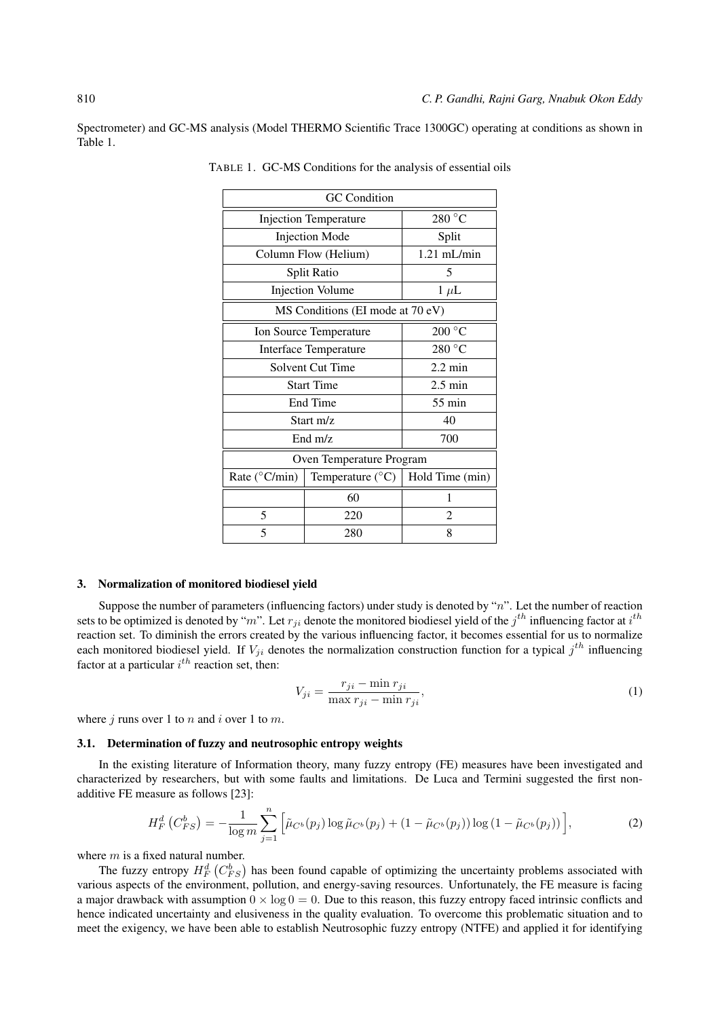Spectrometer) and GC-MS analysis (Model THERMO Scientific Trace 1300GC) operating at conditions as shown in Table 1.

| <b>GC</b> Condition              |                           |                 |  |  |  |  |
|----------------------------------|---------------------------|-----------------|--|--|--|--|
| <b>Injection Temperature</b>     | 280 °C                    |                 |  |  |  |  |
| <b>Injection Mode</b>            | Split                     |                 |  |  |  |  |
| Column Flow (Helium)             | $1.21$ mL/min             |                 |  |  |  |  |
| Split Ratio                      | 5                         |                 |  |  |  |  |
| <b>Injection Volume</b>          | $1 \mu L$                 |                 |  |  |  |  |
| MS Conditions (EI mode at 70 eV) |                           |                 |  |  |  |  |
| Ion Source Temperature           | $200\,^{\circ}\mathrm{C}$ |                 |  |  |  |  |
| Interface Temperature            | 280 °C                    |                 |  |  |  |  |
| Solvent Cut Time                 | $2.2 \text{ min}$         |                 |  |  |  |  |
| <b>Start Time</b>                | $2.5 \text{ min}$         |                 |  |  |  |  |
| End Time                         | $55 \text{ min}$          |                 |  |  |  |  |
| Start $m/z$                      | 40                        |                 |  |  |  |  |
| End $m/z$                        | 700                       |                 |  |  |  |  |
| Oven Temperature Program         |                           |                 |  |  |  |  |
| Rate (°C/min)                    | Temperature $(^{\circ}C)$ | Hold Time (min) |  |  |  |  |
|                                  | 60                        | 1               |  |  |  |  |
| 5                                | $\mathfrak{D}$<br>220     |                 |  |  |  |  |
| 5<br>280                         |                           | 8               |  |  |  |  |

TABLE 1. GC-MS Conditions for the analysis of essential oils

#### 3. Normalization of monitored biodiesel yield

Suppose the number of parameters (influencing factors) under study is denoted by " $n$ ". Let the number of reaction sets to be optimized is denoted by "m". Let  $r_{ji}$  denote the monitored biodiesel yield of the  $j^{th}$  influencing factor at  $i^{th}$ reaction set. To diminish the errors created by the various influencing factor, it becomes essential for us to normalize each monitored biodiesel yield. If  $V_{ji}$  denotes the normalization construction function for a typical  $j^{th}$  influencing factor at a particular  $i^{th}$  reaction set, then:

$$
V_{ji} = \frac{r_{ji} - \min r_{ji}}{\max r_{ji} - \min r_{ji}},\tag{1}
$$

where  $j$  runs over 1 to  $n$  and  $i$  over 1 to  $m$ .

### 3.1. Determination of fuzzy and neutrosophic entropy weights

In the existing literature of Information theory, many fuzzy entropy (FE) measures have been investigated and characterized by researchers, but with some faults and limitations. De Luca and Termini suggested the first nonadditive FE measure as follows [23]:

$$
H_F^d(C_{FS}^b) = -\frac{1}{\log m} \sum_{j=1}^n \left[ \tilde{\mu}_{C^b}(p_j) \log \tilde{\mu}_{C^b}(p_j) + (1 - \tilde{\mu}_{C^b}(p_j)) \log (1 - \tilde{\mu}_{C^b}(p_j)) \right],\tag{2}
$$

where  $m$  is a fixed natural number.

The fuzzy entropy  $H_F^d$   $(C_{FS}^b)$  has been found capable of optimizing the uncertainty problems associated with various aspects of the environment, pollution, and energy-saving resources. Unfortunately, the FE measure is facing a major drawback with assumption  $0 \times \log 0 = 0$ . Due to this reason, this fuzzy entropy faced intrinsic conflicts and hence indicated uncertainty and elusiveness in the quality evaluation. To overcome this problematic situation and to meet the exigency, we have been able to establish Neutrosophic fuzzy entropy (NTFE) and applied it for identifying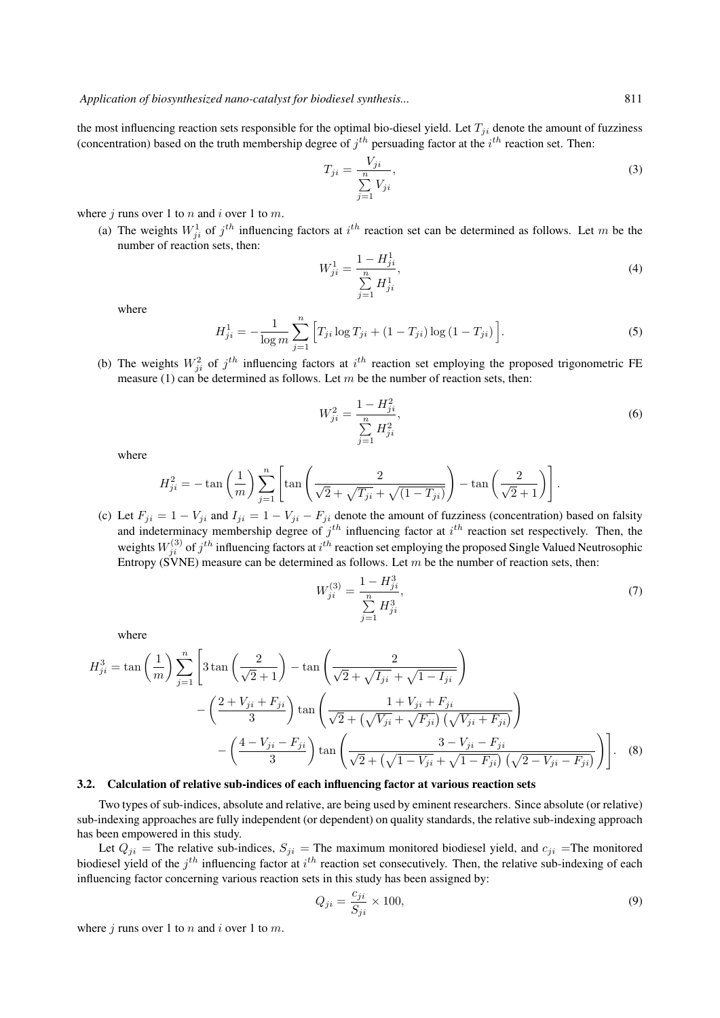the most influencing reaction sets responsible for the optimal bio-diesel yield. Let  $T_{ji}$  denote the amount of fuzziness (concentration) based on the truth membership degree of  $j<sup>th</sup>$  persuading factor at the  $i<sup>th</sup>$  reaction set. Then:

$$
T_{ji} = \frac{V_{ji}}{\sum\limits_{j=1}^{n} V_{ji}},\tag{3}
$$

where  $j$  runs over 1 to  $n$  and  $i$  over 1 to  $m$ .

(a) The weights  $W_{ji}^1$  of  $j^{th}$  influencing factors at  $i^{th}$  reaction set can be determined as follows. Let m be the number of reaction sets, then:

$$
W_{ji}^{1} = \frac{1 - H_{ji}^{1}}{\sum_{j=1}^{n} H_{ji}^{1}},\tag{4}
$$

where

$$
H_{ji}^{1} = -\frac{1}{\log m} \sum_{j=1}^{n} \left[ T_{ji} \log T_{ji} + (1 - T_{ji}) \log (1 - T_{ji}) \right].
$$
 (5)

(b) The weights  $W_{ji}^2$  of  $j^{th}$  influencing factors at  $i^{th}$  reaction set employing the proposed trigonometric FE measure (1) can be determined as follows. Let  $m$  be the number of reaction sets, then:

$$
W_{ji}^2 = \frac{1 - H_{ji}^2}{\sum_{j=1}^n H_{ji}^2},\tag{6}
$$

where

$$
H_{ji}^2 = -\tan\left(\frac{1}{m}\right) \sum_{j=1}^n \left[ \tan\left(\frac{2}{\sqrt{2} + \sqrt{T_{ji}} + \sqrt{(1 - T_{ji})}}\right) - \tan\left(\frac{2}{\sqrt{2} + 1}\right) \right].
$$

(c) Let  $F_{ji} = 1 - V_{ji}$  and  $I_{ji} = 1 - V_{ji} - F_{ji}$  denote the amount of fuzziness (concentration) based on falsity and indeterminacy membership degree of  $j<sup>th</sup>$  influencing factor at  $i<sup>th</sup>$  reaction set respectively. Then, the weights  $W_{ji}^{(3)}$  of  $j^{th}$  influencing factors at  $i^{th}$  reaction set employing the proposed Single Valued Neutrosophic Entropy (SVNE) measure can be determined as follows. Let  $m$  be the number of reaction sets, then:

$$
W_{ji}^{(3)} = \frac{1 - H_{ji}^3}{\sum_{j=1}^n H_{ji}^3},\tag{7}
$$

where

$$
H_{ji}^{3} = \tan\left(\frac{1}{m}\right) \sum_{j=1}^{n} \left[3\tan\left(\frac{2}{\sqrt{2}+1}\right) - \tan\left(\frac{2}{\sqrt{2}+\sqrt{I_{ji}} + \sqrt{1-I_{ji}}}\right) - \left(\frac{2+V_{ji}+F_{ji}}{3}\right)\tan\left(\frac{1+V_{ji}+F_{ji}}{\sqrt{2}+\left(\sqrt{V_{ji}} + \sqrt{F_{ji}}\right)\left(\sqrt{V_{ji}+F_{ji}}\right)}\right) - \left(\frac{4-V_{ji}-F_{ji}}{3}\right)\tan\left(\frac{3-V_{ji}-F_{ji}}{\sqrt{2}+\left(\sqrt{1-V_{ji}} + \sqrt{1-F_{ji}}\right)\left(\sqrt{2-V_{ji}-F_{ji}}\right)}\right)\right].
$$
 (8)

#### 3.2. Calculation of relative sub-indices of each influencing factor at various reaction sets

Two types of sub-indices, absolute and relative, are being used by eminent researchers. Since absolute (or relative) sub-indexing approaches are fully independent (or dependent) on quality standards, the relative sub-indexing approach has been empowered in this study.

Let  $Q_{ji}$  = The relative sub-indices,  $S_{ji}$  = The maximum monitored biodiesel yield, and  $c_{ji}$  = The monitored biodiesel yield of the  $j<sup>th</sup>$  influencing factor at  $i<sup>th</sup>$  reaction set consecutively. Then, the relative sub-indexing of each influencing factor concerning various reaction sets in this study has been assigned by:

$$
Q_{ji} = \frac{c_{ji}}{S_{ji}} \times 100,\tag{9}
$$

where  $j$  runs over 1 to  $n$  and  $i$  over 1 to  $m$ .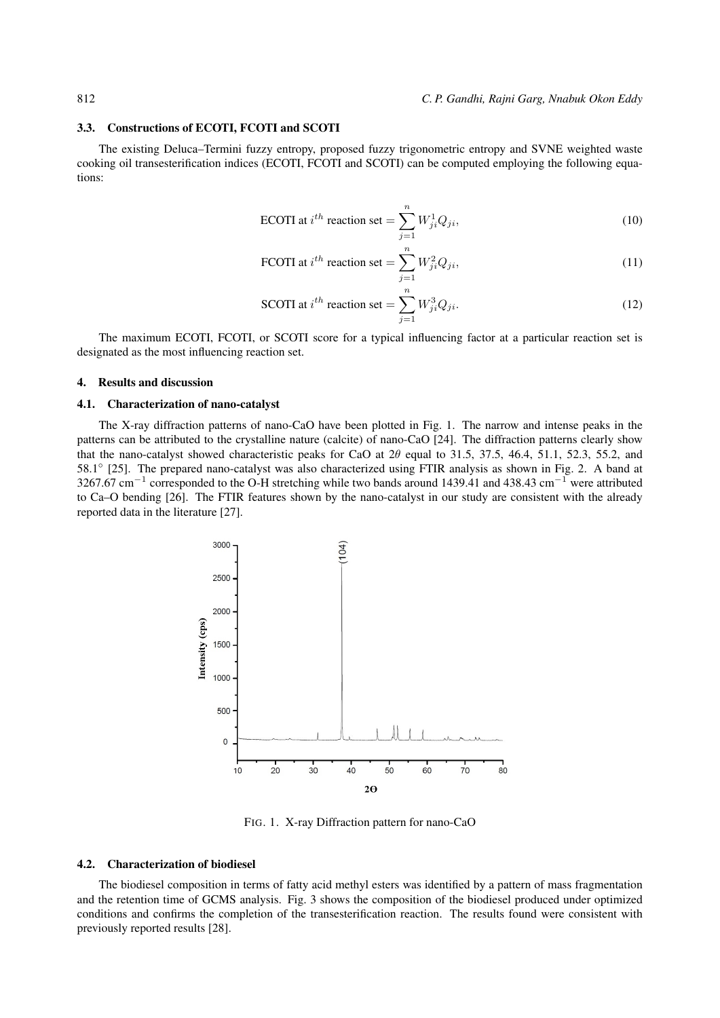#### 3.3. Constructions of ECOTI, FCOTI and SCOTI

The existing Deluca–Termini fuzzy entropy, proposed fuzzy trigonometric entropy and SVNE weighted waste cooking oil transesterification indices (ECOTI, FCOTI and SCOTI) can be computed employing the following equations:

$$
\text{ECOTI at } i^{th} \text{ reaction set} = \sum_{j=1}^{n} W_{ji}^{1} Q_{ji},\tag{10}
$$

FCOTI at 
$$
i^{th}
$$
 reaction set =  $\sum_{j=1}^{n} W_{ji}^2 Q_{ji}$ , (11)

SCOTI at 
$$
i^{th}
$$
 reaction set =  $\sum_{j=1}^{n} W_{ji}^{3} Q_{ji}$ . (12)

The maximum ECOTI, FCOTI, or SCOTI score for a typical influencing factor at a particular reaction set is designated as the most influencing reaction set.

#### 4. Results and discussion

## 4.1. Characterization of nano-catalyst

The X-ray diffraction patterns of nano-CaO have been plotted in Fig. 1. The narrow and intense peaks in the patterns can be attributed to the crystalline nature (calcite) of nano-CaO [24]. The diffraction patterns clearly show that the nano-catalyst showed characteristic peaks for CaO at  $2\theta$  equal to 31.5, 37.5, 46.4, 51.1, 52.3, 55.2, and 58.1<sup>°</sup> [25]. The prepared nano-catalyst was also characterized using FTIR analysis as shown in Fig. 2. A band at 3267.67 cm<sup>-1</sup> corresponded to the O-H stretching while two bands around 1439.41 and 438.43 cm<sup>-1</sup> were attributed to Ca–O bending [26]. The FTIR features shown by the nano-catalyst in our study are consistent with the already reported data in the literature [27].



FIG. 1. X-ray Diffraction pattern for nano-CaO

#### 4.2. Characterization of biodiesel

The biodiesel composition in terms of fatty acid methyl esters was identified by a pattern of mass fragmentation and the retention time of GCMS analysis. Fig. 3 shows the composition of the biodiesel produced under optimized conditions and confirms the completion of the transesterification reaction. The results found were consistent with previously reported results [28].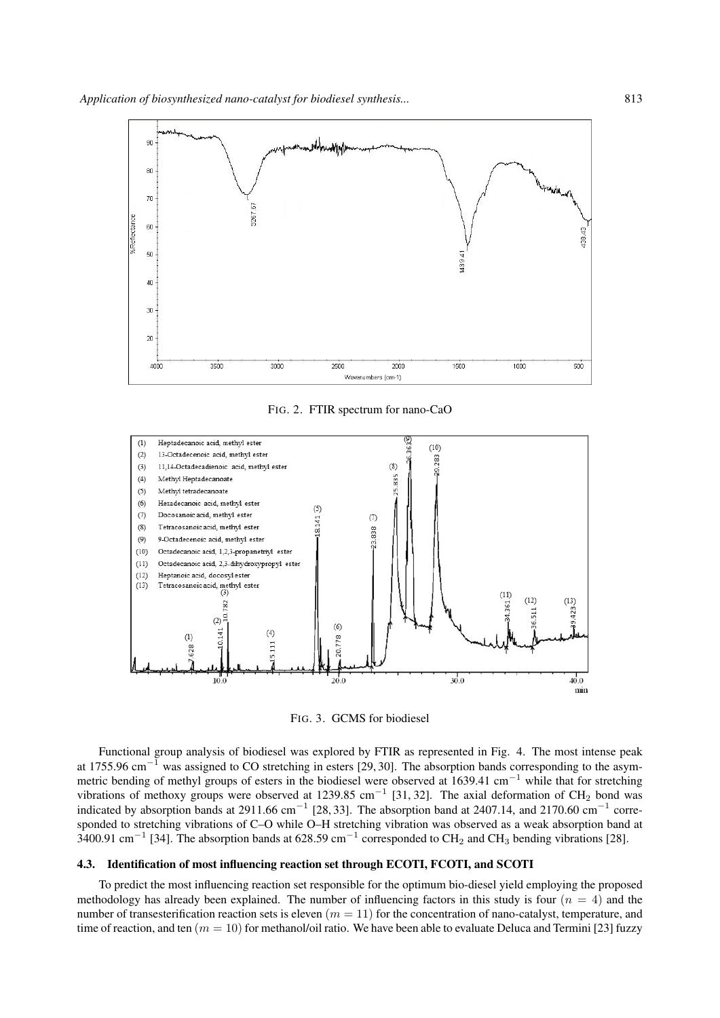

FIG. 2. FTIR spectrum for nano-CaO



FIG. 3. GCMS for biodiesel

Functional group analysis of biodiesel was explored by FTIR as represented in Fig. 4. The most intense peak at 1755.96 cm<sup>−</sup><sup>1</sup> was assigned to CO stretching in esters [29, 30]. The absorption bands corresponding to the asymmetric bending of methyl groups of esters in the biodiesel were observed at 1639.41 cm<sup>−</sup><sup>1</sup> while that for stretching vibrations of methoxy groups were observed at 1239.85 cm<sup>-1</sup> [31, 32]. The axial deformation of CH<sub>2</sub> bond was indicated by absorption bands at 2911.66 cm<sup>-1</sup> [28, 33]. The absorption band at 2407.14, and 2170.60 cm<sup>-1</sup> corresponded to stretching vibrations of C–O while O–H stretching vibration was observed as a weak absorption band at 3400.91 cm<sup>-1</sup> [34]. The absorption bands at 628.59 cm<sup>-1</sup> corresponded to CH<sub>2</sub> and CH<sub>3</sub> bending vibrations [28].

## 4.3. Identification of most influencing reaction set through ECOTI, FCOTI, and SCOTI

To predict the most influencing reaction set responsible for the optimum bio-diesel yield employing the proposed methodology has already been explained. The number of influencing factors in this study is four  $(n = 4)$  and the number of transesterification reaction sets is eleven  $(m = 11)$  for the concentration of nano-catalyst, temperature, and time of reaction, and ten  $(m = 10)$  for methanol/oil ratio. We have been able to evaluate Deluca and Termini [23] fuzzy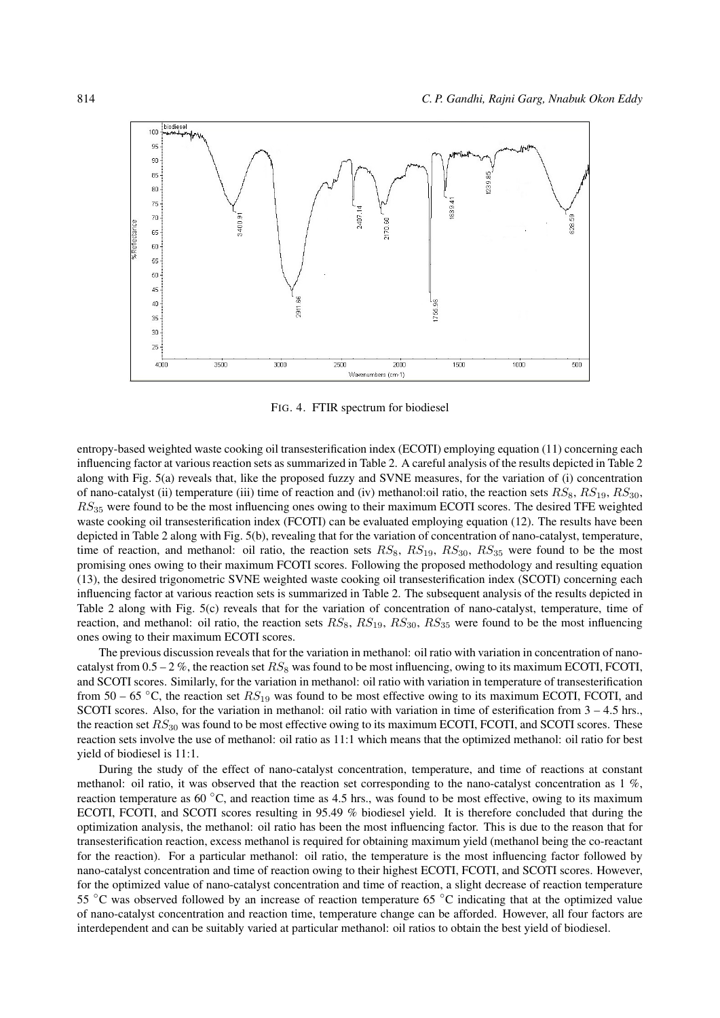

FIG. 4. FTIR spectrum for biodiesel

entropy-based weighted waste cooking oil transesterification index (ECOTI) employing equation (11) concerning each influencing factor at various reaction sets as summarized in Table 2. A careful analysis of the results depicted in Table 2 along with Fig. 5(a) reveals that, like the proposed fuzzy and SVNE measures, for the variation of (i) concentration of nano-catalyst (ii) temperature (iii) time of reaction and (iv) methanol:oil ratio, the reaction sets  $RS_8$ ,  $RS_{19}$ ,  $RS_{30}$ ,  $RS_{35}$  were found to be the most influencing ones owing to their maximum ECOTI scores. The desired TFE weighted waste cooking oil transesterification index (FCOTI) can be evaluated employing equation (12). The results have been depicted in Table 2 along with Fig. 5(b), revealing that for the variation of concentration of nano-catalyst, temperature, time of reaction, and methanol: oil ratio, the reaction sets  $RS_8$ ,  $RS_{19}$ ,  $RS_{30}$ ,  $RS_{35}$  were found to be the most promising ones owing to their maximum FCOTI scores. Following the proposed methodology and resulting equation (13), the desired trigonometric SVNE weighted waste cooking oil transesterification index (SCOTI) concerning each influencing factor at various reaction sets is summarized in Table 2. The subsequent analysis of the results depicted in Table 2 along with Fig. 5(c) reveals that for the variation of concentration of nano-catalyst, temperature, time of reaction, and methanol: oil ratio, the reaction sets  $RS_8$ ,  $RS_{19}$ ,  $RS_{30}$ ,  $RS_{35}$  were found to be the most influencing ones owing to their maximum ECOTI scores.

The previous discussion reveals that for the variation in methanol: oil ratio with variation in concentration of nanocatalyst from  $0.5 - 2\%$ , the reaction set  $RS_8$  was found to be most influencing, owing to its maximum ECOTI, FCOTI, and SCOTI scores. Similarly, for the variation in methanol: oil ratio with variation in temperature of transesterification from 50 – 65 °C, the reaction set  $RS_{19}$  was found to be most effective owing to its maximum ECOTI, FCOTI, and SCOTI scores. Also, for the variation in methanol: oil ratio with variation in time of esterification from  $3 - 4.5$  hrs., the reaction set  $RS_{30}$  was found to be most effective owing to its maximum ECOTI, FCOTI, and SCOTI scores. These reaction sets involve the use of methanol: oil ratio as 11:1 which means that the optimized methanol: oil ratio for best yield of biodiesel is 11:1.

During the study of the effect of nano-catalyst concentration, temperature, and time of reactions at constant methanol: oil ratio, it was observed that the reaction set corresponding to the nano-catalyst concentration as 1 %, reaction temperature as 60 ◦C, and reaction time as 4.5 hrs., was found to be most effective, owing to its maximum ECOTI, FCOTI, and SCOTI scores resulting in 95.49 % biodiesel yield. It is therefore concluded that during the optimization analysis, the methanol: oil ratio has been the most influencing factor. This is due to the reason that for transesterification reaction, excess methanol is required for obtaining maximum yield (methanol being the co-reactant for the reaction). For a particular methanol: oil ratio, the temperature is the most influencing factor followed by nano-catalyst concentration and time of reaction owing to their highest ECOTI, FCOTI, and SCOTI scores. However, for the optimized value of nano-catalyst concentration and time of reaction, a slight decrease of reaction temperature 55 ◦C was observed followed by an increase of reaction temperature 65 ◦C indicating that at the optimized value of nano-catalyst concentration and reaction time, temperature change can be afforded. However, all four factors are interdependent and can be suitably varied at particular methanol: oil ratios to obtain the best yield of biodiesel.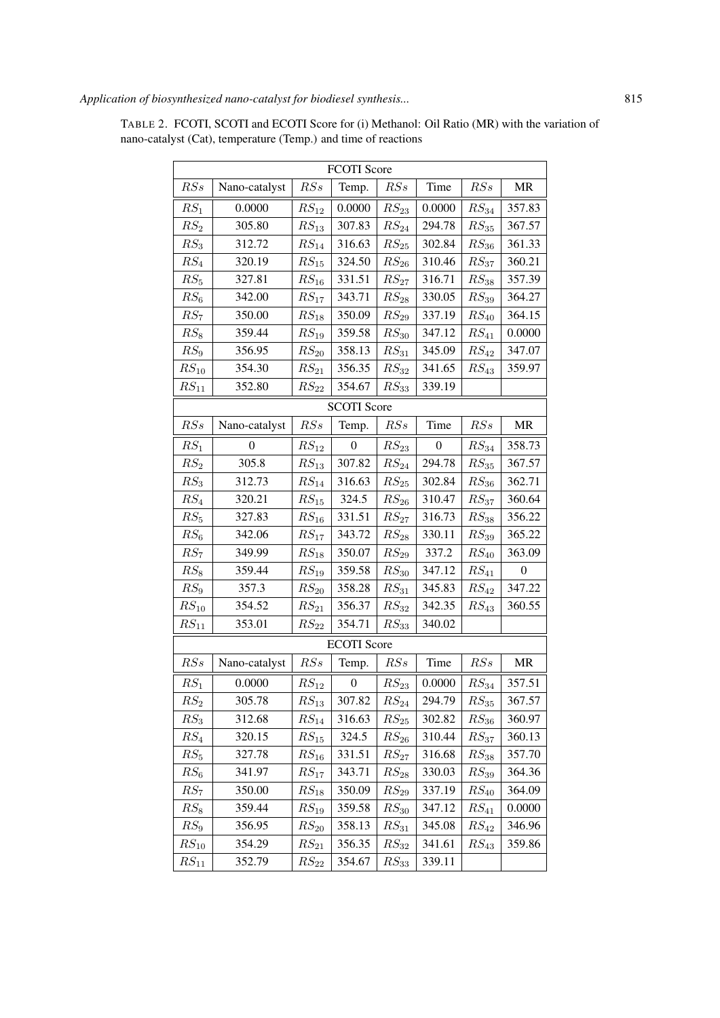| <b>FCOTI</b> Score |                |                                     |                    |                    |          |                     |                                   |  |
|--------------------|----------------|-------------------------------------|--------------------|--------------------|----------|---------------------|-----------------------------------|--|
| RSs                | Nano-catalyst  | RSs                                 | Temp.              | RSs                | Time     | RSs                 | <b>MR</b>                         |  |
| $RS_1$             | 0.0000         | $RS_{12}$                           | 0.0000             | $RS_{23}$          | 0.0000   | $RS_{34}$           | 357.83                            |  |
| RS <sub>2</sub>    | 305.80         | $RS_{13}$                           | 307.83             | $RS_{24}$          | 294.78   | $RS_{35}$           | 367.57                            |  |
| $RS_3$             | 312.72         | $\mathit{RS}_{14}$                  | 316.63             | $RS_{25}$          | 302.84   | $\mathcal{RS}_{36}$ | 361.33                            |  |
| $RS_4$             | 320.19         | $RS_{15}$                           | 324.50             | $RS_{26}$          | 310.46   | $RS_{37}$           | 360.21                            |  |
| $RS_5$             | 327.81         | $RS_{16}$                           | 331.51             | $\mathit{RS}_{27}$ | 316.71   | $RS_{38}$           | 357.39                            |  |
| $RS_6$             | 342.00         | $RS_{17}$                           | 343.71             | $RS_{28}$          | 330.05   | $RS_{39}$           | 364.27                            |  |
| $RS_7$             | 350.00         | $RS_{18}$                           | 350.09             | $RS_{29}$          | 337.19   | $RS_{40}$           | 364.15                            |  |
| $RS_8$             | 359.44         | $RS_{19}$                           | 359.58             | $RS_{30}$          | 347.12   | $RS_{41}$           | 0.0000                            |  |
| RS <sub>9</sub>    | 356.95         | $RS_{20}$                           | 358.13             | $RS_{31}$          | 345.09   | $RS_{42}$           | 347.07                            |  |
| $RS_{10}$          | 354.30         | $RS_{21}$                           | 356.35             | $RS_{32}$          | 341.65   | $RS_{43}$           | 359.97                            |  |
| $\mathit{RS}_{11}$ | 352.80         | $RS_{22}$                           | 354.67             | $RS_{33}$          | 339.19   |                     |                                   |  |
| <b>SCOTI Score</b> |                |                                     |                    |                    |          |                     |                                   |  |
| RSs                | Nano-catalyst  | $\mathcal{R}\mathcal{S}\mathcal{s}$ | Temp.              | RSs                | Time     | RSs                 | $\ensuremath{\mathsf{MR}}\xspace$ |  |
| $RS_1$             | $\overline{0}$ | $RS_{12}$                           | $\overline{0}$     | $RS_{23}$          | $\theta$ | $RS_{34}$           | 358.73                            |  |
| $RS_2$             | 305.8          | $RS_{13}$                           | 307.82             | $RS_{24}$          | 294.78   | $RS_{35}$           | 367.57                            |  |
| $RS_3$             | 312.73         | $RS_{14}$                           | 316.63             | $RS_{25}$          | 302.84   | $RS_{36}$           | 362.71                            |  |
| $RS_4$             | 320.21         | $RS_{15}$                           | 324.5              | $RS_{26}$          | 310.47   | $RS_{37}$           | 360.64                            |  |
| $RS_5$             | 327.83         | $RS_{16}$                           | 331.51             | $RS_{27}$          | 316.73   | $RS_{38}$           | 356.22                            |  |
| $RS_6$             | 342.06         | $RS_{17}$                           | 343.72             | $RS_{28}$          | 330.11   | $RS_{39}$           | 365.22                            |  |
| $RS_7$             | 349.99         | $RS_{18}$                           | 350.07             | $RS_{29}$          | 337.2    | $RS_{40}$           | 363.09                            |  |
| $RS_8$             | 359.44         | $\mathit{RS}_{19}$                  | 359.58             | $RS_{30}$          | 347.12   | $\mathit{RS}_{41}$  | $\boldsymbol{0}$                  |  |
| RS <sub>9</sub>    | 357.3          | $RS_{20}$                           | 358.28             | $RS_{31}$          | 345.83   | $RS_{42}$           | 347.22                            |  |
| $RS_{10}$          | 354.52         | $\mathit{RS}_{21}$                  | 356.37             | $RS_{32}$          | 342.35   | $\mathit{RS}_{43}$  | 360.55                            |  |
| $RS_{11}$          | 353.01         | $RS_{22}$                           | 354.71             | $RS_{33}$          | 340.02   |                     |                                   |  |
|                    |                |                                     | <b>ECOTI</b> Score |                    |          |                     |                                   |  |
| RSs                | Nano-catalyst  | RSs                                 | Temp.              | RSs                | Time     | RSs                 | MR                                |  |
| $RS_1$             | 0.0000         | $RS_{12}$                           | $\boldsymbol{0}$   | $RS_{23}$          | 0.0000   | $RS_{34}$           | 357.51                            |  |
| $\mathbb{R}S_2$    | 305.78         | $\mathit{RS}_{13}$                  | 307.82             | $RS_{24}$          | 294.79   | $\mathit{RS}_{35}$  | 367.57                            |  |
| $RS_3$             | 312.68         | $RS_{14}$                           | 316.63             | $\mathit{RS}_{25}$ | 302.82   | $RS_{36}$           | 360.97                            |  |
| $RS_4$             | 320.15         | $RS_{15}$                           | 324.5              | $RS_{26}$          | 310.44   | $RS_{37}$           | 360.13                            |  |
| $RS_5$             | 327.78         | $RS_{16}$                           | 331.51             | $RS_{27}$          | 316.68   | $RS_{38}$           | 357.70                            |  |
| $RS_6$             | 341.97         | $RS_{17}$                           | 343.71             | $\mathit{RS}_{28}$ | 330.03   | $RS_{39}$           | 364.36                            |  |
| $RS_7$             | 350.00         | $RS_{18}$                           | 350.09             | $RS_{29}$          | 337.19   | $RS_{40}$           | 364.09                            |  |
| $RS_8$             | 359.44         | $RS_{19}$                           | 359.58             | $RS_{30}$          | 347.12   | $RS_{41}$           | 0.0000                            |  |
| RS <sub>9</sub>    | 356.95         | $RS_{20}$                           | 358.13             | $RS_{31}$          | 345.08   | $RS_{42}$           | 346.96                            |  |
| $RS_{10}$          | 354.29         | $RS_{21}$                           | 356.35             | $RS_{32}$          | 341.61   | $RS_{43}$           | 359.86                            |  |
| $RS_{11}$          | 352.79         | $RS_{22}$                           | 354.67             | $RS_{33}$          | 339.11   |                     |                                   |  |

TABLE 2. FCOTI, SCOTI and ECOTI Score for (i) Methanol: Oil Ratio (MR) with the variation of nano-catalyst (Cat), temperature (Temp.) and time of reactions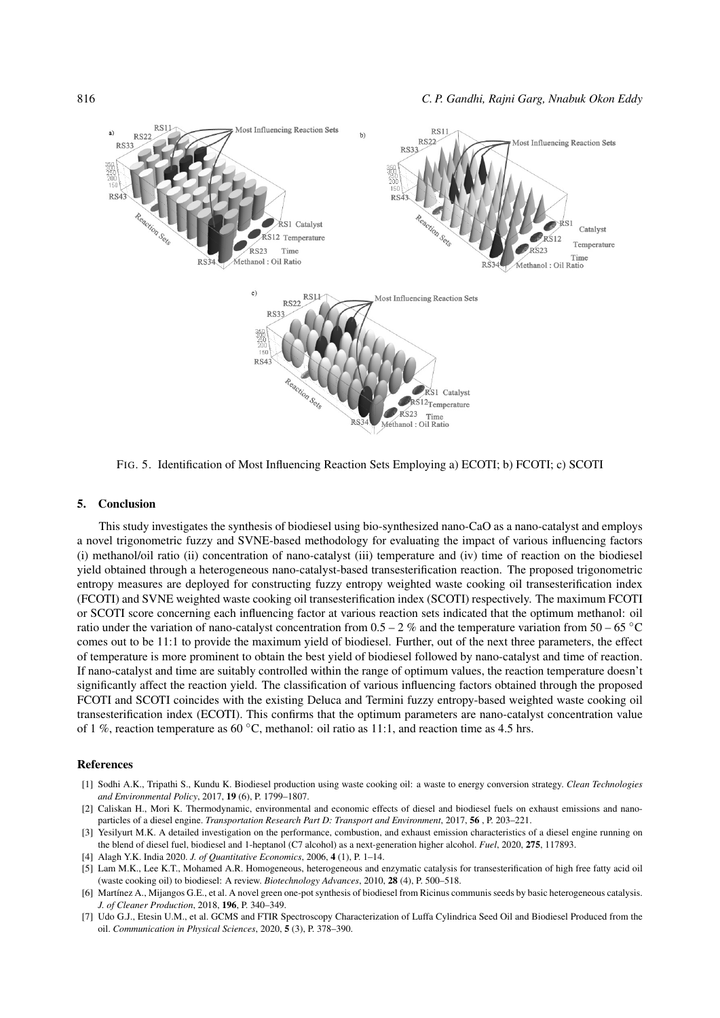

FIG. 5. Identification of Most Influencing Reaction Sets Employing a) ECOTI; b) FCOTI; c) SCOTI

#### 5. Conclusion

This study investigates the synthesis of biodiesel using bio-synthesized nano-CaO as a nano-catalyst and employs a novel trigonometric fuzzy and SVNE-based methodology for evaluating the impact of various influencing factors (i) methanol/oil ratio (ii) concentration of nano-catalyst (iii) temperature and (iv) time of reaction on the biodiesel yield obtained through a heterogeneous nano-catalyst-based transesterification reaction. The proposed trigonometric entropy measures are deployed for constructing fuzzy entropy weighted waste cooking oil transesterification index (FCOTI) and SVNE weighted waste cooking oil transesterification index (SCOTI) respectively. The maximum FCOTI or SCOTI score concerning each influencing factor at various reaction sets indicated that the optimum methanol: oil ratio under the variation of nano-catalyst concentration from  $0.5 - 2$  % and the temperature variation from  $50 - 65$  °C comes out to be 11:1 to provide the maximum yield of biodiesel. Further, out of the next three parameters, the effect of temperature is more prominent to obtain the best yield of biodiesel followed by nano-catalyst and time of reaction. If nano-catalyst and time are suitably controlled within the range of optimum values, the reaction temperature doesn't significantly affect the reaction yield. The classification of various influencing factors obtained through the proposed FCOTI and SCOTI coincides with the existing Deluca and Termini fuzzy entropy-based weighted waste cooking oil transesterification index (ECOTI). This confirms that the optimum parameters are nano-catalyst concentration value of 1 %, reaction temperature as 60 °C, methanol: oil ratio as 11:1, and reaction time as 4.5 hrs.

#### References

- [1] Sodhi A.K., Tripathi S., Kundu K. Biodiesel production using waste cooking oil: a waste to energy conversion strategy. *Clean Technologies and Environmental Policy*, 2017, 19 (6), P. 1799–1807.
- [2] Caliskan H., Mori K. Thermodynamic, environmental and economic effects of diesel and biodiesel fuels on exhaust emissions and nanoparticles of a diesel engine. *Transportation Research Part D: Transport and Environment*, 2017, 56 , P. 203–221.
- [3] Yesilyurt M.K. A detailed investigation on the performance, combustion, and exhaust emission characteristics of a diesel engine running on the blend of diesel fuel, biodiesel and 1-heptanol (C7 alcohol) as a next-generation higher alcohol. *Fuel*, 2020, 275, 117893.
- [4] Alagh Y.K. India 2020. *J. of Quantitative Economics*, 2006, 4 (1), P. 1–14.
- [5] Lam M.K., Lee K.T., Mohamed A.R. Homogeneous, heterogeneous and enzymatic catalysis for transesterification of high free fatty acid oil (waste cooking oil) to biodiesel: A review. *Biotechnology Advances*, 2010, 28 (4), P. 500–518.
- [6] Martínez A., Mijangos G.E., et al. A novel green one-pot synthesis of biodiesel from Ricinus communis seeds by basic heterogeneous catalysis. *J. of Cleaner Production*, 2018, 196, P. 340–349.
- [7] Udo G.J., Etesin U.M., et al. GCMS and FTIR Spectroscopy Characterization of Luffa Cylindrica Seed Oil and Biodiesel Produced from the oil. *Communication in Physical Sciences*, 2020, 5 (3), P. 378–390.